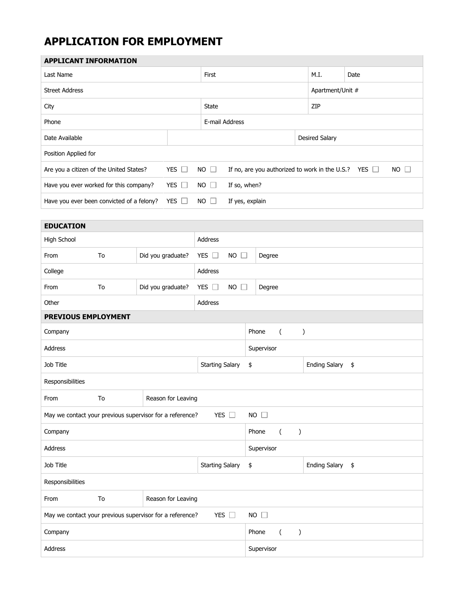## **APPLICATION FOR EMPLOYMENT**

| <b>APPLICANT INFORMATION</b>                                                                                                                        |                                    |                   |                                   |                                    |                            |                  |  |
|-----------------------------------------------------------------------------------------------------------------------------------------------------|------------------------------------|-------------------|-----------------------------------|------------------------------------|----------------------------|------------------|--|
| Last Name                                                                                                                                           |                                    |                   | First                             |                                    |                            | Date             |  |
| <b>Street Address</b>                                                                                                                               |                                    |                   |                                   |                                    |                            | Apartment/Unit # |  |
| City                                                                                                                                                |                                    |                   | <b>State</b>                      |                                    | ZIP                        |                  |  |
| Phone                                                                                                                                               |                                    |                   | E-mail Address                    |                                    |                            |                  |  |
| Date Available                                                                                                                                      |                                    |                   |                                   | Desired Salary                     |                            |                  |  |
| Position Applied for                                                                                                                                |                                    |                   |                                   |                                    |                            |                  |  |
| Are you a citizen of the United States?<br>YES $\Box$<br>$NO$ $\Box$<br>If no, are you authorized to work in the U.S.?<br>$NO$ $\Box$<br>YES $\Box$ |                                    |                   |                                   |                                    |                            |                  |  |
| Have you ever worked for this company?                                                                                                              |                                    | YES $\Box$        | If so, when?<br>$NO$ $\Box$       |                                    |                            |                  |  |
| Have you ever been convicted of a felony?                                                                                                           |                                    | YES $\Box$        | $NO$ $\Box$                       | If yes, explain                    |                            |                  |  |
|                                                                                                                                                     |                                    |                   |                                   |                                    |                            |                  |  |
| <b>EDUCATION</b>                                                                                                                                    |                                    |                   |                                   |                                    |                            |                  |  |
| High School                                                                                                                                         |                                    |                   | Address                           |                                    |                            |                  |  |
| From                                                                                                                                                | To                                 | Did you graduate? | YES $\square$<br><b>NO</b>        | $\Box$<br>Degree                   |                            |                  |  |
| College                                                                                                                                             |                                    |                   | Address                           |                                    |                            |                  |  |
| From                                                                                                                                                | To                                 | Did you graduate? | <b>NO</b><br>YES $\Box$<br>$\Box$ | Degree                             |                            |                  |  |
| Other                                                                                                                                               | Address                            |                   |                                   |                                    |                            |                  |  |
| PREVIOUS EMPLOYMENT                                                                                                                                 |                                    |                   |                                   |                                    |                            |                  |  |
| Company                                                                                                                                             | Phone<br>$\left($<br>$\mathcal{E}$ |                   |                                   |                                    |                            |                  |  |
| Address                                                                                                                                             |                                    |                   | Supervisor                        |                                    |                            |                  |  |
| Job Title                                                                                                                                           |                                    |                   | <b>Starting Salary</b>            | \$                                 | <b>Ending Salary</b><br>\$ |                  |  |
| Responsibilities                                                                                                                                    |                                    |                   |                                   |                                    |                            |                  |  |
| From                                                                                                                                                | To<br>Reason for Leaving           |                   |                                   |                                    |                            |                  |  |
| May we contact your previous supervisor for a reference?<br>YES $\square$<br>$NO$ $\Box$                                                            |                                    |                   |                                   |                                    |                            |                  |  |
| Company                                                                                                                                             |                                    |                   | Phone<br>$\left($<br>$\lambda$    |                                    |                            |                  |  |
| Address                                                                                                                                             |                                    |                   |                                   | Supervisor                         |                            |                  |  |
| Job Title                                                                                                                                           |                                    |                   | <b>Starting Salary</b>            | \$                                 | <b>Ending Salary</b>       | \$               |  |
| Responsibilities                                                                                                                                    |                                    |                   |                                   |                                    |                            |                  |  |
| From                                                                                                                                                | To<br>Reason for Leaving           |                   |                                   |                                    |                            |                  |  |
| May we contact your previous supervisor for a reference?<br>YES $\Box$                                                                              |                                    |                   |                                   | $NO \square$                       |                            |                  |  |
| Company                                                                                                                                             |                                    |                   |                                   | Phone<br>$\left($<br>$\mathcal{E}$ |                            |                  |  |
| Address                                                                                                                                             |                                    |                   |                                   | Supervisor                         |                            |                  |  |